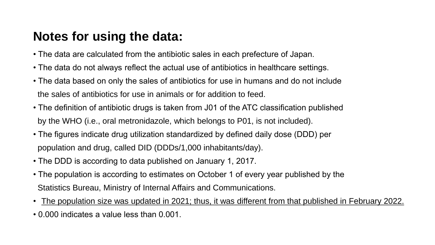# **Notes for using the data:**

- The data are calculated from the antibiotic sales in each prefecture of Japan.
- The data do not always reflect the actual use of antibiotics in healthcare settings.
- The data based on only the sales of antibiotics for use in humans and do not include the sales of antibiotics for use in animals or for addition to feed.
- The definition of antibiotic drugs is taken from J01 of the ATC classification published by the WHO (i.e., oral metronidazole, which belongs to P01, is not included).
- The figures indicate drug utilization standardized by defined daily dose (DDD) per population and drug, called DID (DDDs/1,000 inhabitants/day).
- The DDD is according to data published on January 1, 2017.
- The population is according to estimates on October 1 of every year published by the Statistics Bureau, Ministry of Internal Affairs and Communications.
- The population size was updated in 2021; thus, it was different from that published in February 2022.
- 0.000 indicates a value less than 0.001.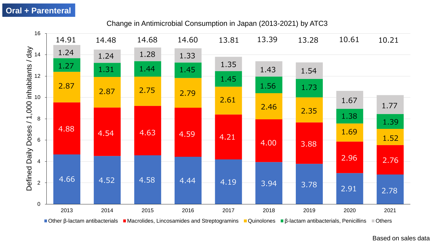# **Oral + Parenteral**

## Change in Antimicrobial Consumption in Japan (2013-2021) by ATC3



Based on sales data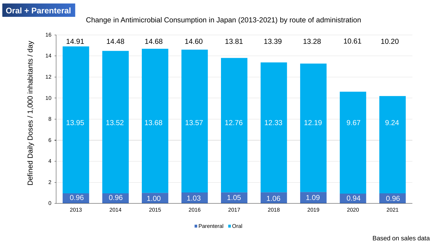# **Oral + Parenteral**

## Change in Antimicrobial Consumption in Japan (2013-2021) by route of administration



■ Parenteral ■ Oral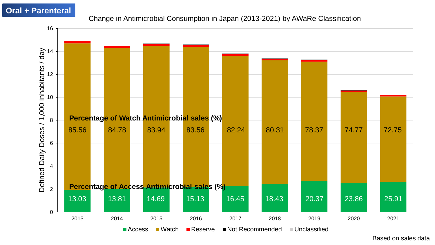# **Oral + Parenteral**

#### Change in Antimicrobial Consumption in Japan (2013-2021) by AWaRe Classification



Based on sales data